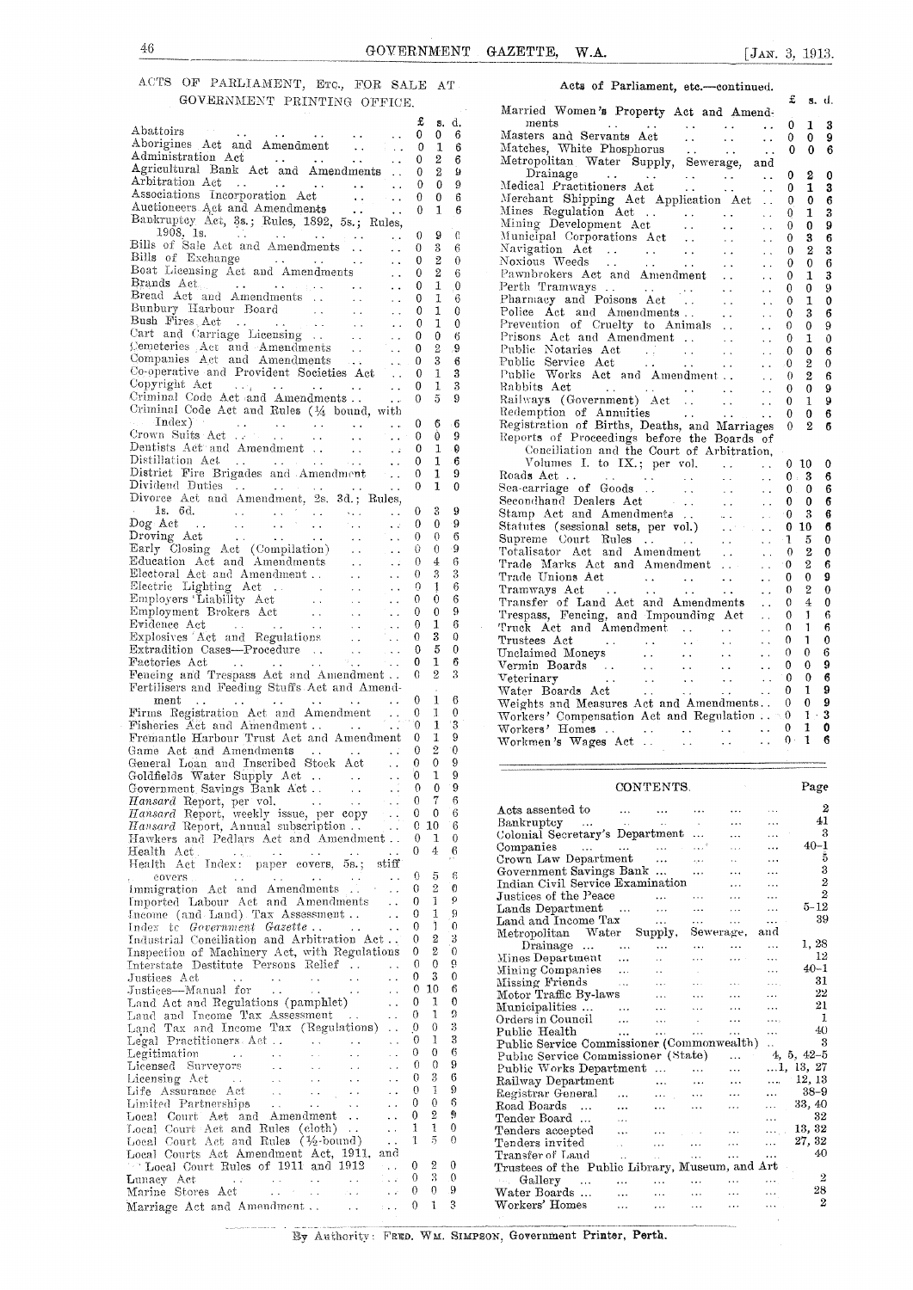### ACTS OF PARLIAMENT, ETC., FOR SALE AT GOVERNMENT PRINTING OFFICE.

| Abattoirs<br>Abattoirs<br>Aborigines Act and Amendment<br>Administration Act<br>Agricultural Bank Act and Amendments<br>                                                                                                                                                                                                                                                                                                                                                                                    | £<br>0<br>0<br>0<br>0<br>0                                                                                                                                                                                                                                                                        | s.<br>0<br>1<br>2<br>2<br>0                                                     | d.<br>6<br>6<br>6<br>ÿ<br>9                                          |
|-------------------------------------------------------------------------------------------------------------------------------------------------------------------------------------------------------------------------------------------------------------------------------------------------------------------------------------------------------------------------------------------------------------------------------------------------------------------------------------------------------------|---------------------------------------------------------------------------------------------------------------------------------------------------------------------------------------------------------------------------------------------------------------------------------------------------|---------------------------------------------------------------------------------|----------------------------------------------------------------------|
|                                                                                                                                                                                                                                                                                                                                                                                                                                                                                                             | 0<br>0                                                                                                                                                                                                                                                                                            | 0<br>1                                                                          | 6<br>6                                                               |
| 1908, 1s.<br>Bills of Sale Act and Amendments<br>Bills of Exchange<br>Boat Licensing Act and Amendments<br>Bunbury Harbour Board<br>Bunbury Harbour Board<br>Cart and Carriage Licensing<br>Companies Act and Amendments<br>Companies Act and Amendments<br>Companies Act and Amendments<br>Companies Act and Amendments<br>Act and Amendments<br>Act and<br>Co-operative and Provident Societies Act.<br>Copyright Act<br>Criminal Code Act and Amendments<br>Criminal Code Act and Rules (1/4 bound, with | 0<br>0<br>$\ddot{\phantom{0}}$<br>0<br>0<br>$\ddot{\phantom{a}}$<br>0<br>$\ddot{\phantom{0}}$<br>0<br>$\ddot{\phantom{a}}$<br>0<br>$\ddot{\phantom{a}}$<br>0<br>$\ddot{\phantom{a}}$<br>0<br>0<br>$\ddotsc$<br>0<br>0<br>$\ddot{\phantom{a}}$ .<br>0<br>$\ddot{\phantom{a}}$<br>0<br>$\mathbf{r}$ | 9<br>3<br>2<br>2<br>1<br>1<br>1<br>1<br>0<br>$\overline{2}$<br>3<br>1<br>1<br>5 | G<br>6<br>0<br>6<br>0<br>6<br>0<br>0<br>6<br>-9<br>6<br>3<br>3<br>-9 |
|                                                                                                                                                                                                                                                                                                                                                                                                                                                                                                             | 0                                                                                                                                                                                                                                                                                                 | 6                                                                               | -6                                                                   |
| Crown Suits Act<br>Crown Suits Act<br>Dentists Act and Amendment<br>Distillation Act<br>District Fire Brigades and Amendment                                                                                                                                                                                                                                                                                                                                                                                | 0<br>0<br>0                                                                                                                                                                                                                                                                                       | 0<br>1<br>1                                                                     | 9<br>- 0<br>-6                                                       |
| Dividend Duties $\ldots$ . $\ldots$ .                                                                                                                                                                                                                                                                                                                                                                                                                                                                       | 0<br>0<br>$\sim$ $\sim$                                                                                                                                                                                                                                                                           | $\mathbf{1}$<br>1                                                               | 9<br>0                                                               |
| Divorce Act and Amendment, 2s. 3d.; Rules,                                                                                                                                                                                                                                                                                                                                                                                                                                                                  | 0                                                                                                                                                                                                                                                                                                 | 3                                                                               | 9                                                                    |
| $\begin{minipage}{0.9\linewidth} \begin{tabular}{lcccccc} \multicolumn{2}{c}{\textbf{1s}} & \multicolumn{2}{c}{\textbf{1s}} & \multicolumn{2}{c}{\textbf{1s}} & \multicolumn{2}{c}{\textbf{1s}} & \multicolumn{2}{c}{\textbf{1s}} & \multicolumn{2}{c}{\textbf{1s}} & \multicolumn{2}{c}{\textbf{1s}} & \multicolumn{2}{c}{\textbf{1s}} & \multicolumn{2}{c}{\textbf{1s}} & \multicolumn{2}{c}{\textbf{1s}} & \multicolumn{2}{c}{\textbf{1s}} & \multicolumn{2}{c}{\$<br>Dog Act<br>Droving Act             | 0<br>сź.                                                                                                                                                                                                                                                                                          | 0                                                                               | -9                                                                   |
| $\sim$ $\sim$ $\sim$                                                                                                                                                                                                                                                                                                                                                                                                                                                                                        | 0<br>$\sim$ $\sim$<br>Ü                                                                                                                                                                                                                                                                           | 0<br>0                                                                          | 6<br>-9                                                              |
| Early Closing Act (Compilation)<br>Education Act and Amendments<br>Electoral Act and Amendment.                                                                                                                                                                                                                                                                                                                                                                                                             | 0<br>$\ddotsc$<br>0<br>$\ddot{\phantom{0}}$                                                                                                                                                                                                                                                       | 4<br>3                                                                          | 6<br>3                                                               |
|                                                                                                                                                                                                                                                                                                                                                                                                                                                                                                             | 0<br>$\bar{\mathcal{L}}$ .                                                                                                                                                                                                                                                                        | 1                                                                               | 6                                                                    |
|                                                                                                                                                                                                                                                                                                                                                                                                                                                                                                             | 0<br>$\ddot{\phantom{1}}$ .<br>0<br>$\ddot{\phantom{0}}$                                                                                                                                                                                                                                          | 0<br>0                                                                          | 6<br>9                                                               |
| $\sim$ $\sim$                                                                                                                                                                                                                                                                                                                                                                                                                                                                                               | 0<br>$\ddot{\phantom{a}}$<br>0                                                                                                                                                                                                                                                                    | 1<br>3                                                                          | 6<br>0                                                               |
| $\sim$ $\sim$ $\sim$                                                                                                                                                                                                                                                                                                                                                                                                                                                                                        | 0                                                                                                                                                                                                                                                                                                 | 5                                                                               | 0                                                                    |
| $\sim 10$ .<br>Fencing and Trespass Act and Amendment                                                                                                                                                                                                                                                                                                                                                                                                                                                       | 0<br>0                                                                                                                                                                                                                                                                                            | 1<br>2                                                                          | 6<br>3                                                               |
| Fertilisers and Feeding Stuffs Act and Amend-<br>$_{\rm ment}$                                                                                                                                                                                                                                                                                                                                                                                                                                              | 0                                                                                                                                                                                                                                                                                                 | 1                                                                               | 6                                                                    |
| $\Delta\Delta\phi$ . The second constraints of the second constraints $\phi$<br>$\sim$ $\sim$<br>Firms Registration Act and Amendment                                                                                                                                                                                                                                                                                                                                                                       | 0                                                                                                                                                                                                                                                                                                 | 1                                                                               | 0                                                                    |
| Fisheries Act and Amendment<br>Fremantle Harbour Trust Act and Amendment                                                                                                                                                                                                                                                                                                                                                                                                                                    | $\mathbf{0}$<br>0                                                                                                                                                                                                                                                                                 | 1<br>1                                                                          | 3<br>9                                                               |
| Game Act and Amendments                                                                                                                                                                                                                                                                                                                                                                                                                                                                                     | 0                                                                                                                                                                                                                                                                                                 | $\overline{2}$                                                                  | $\theta$                                                             |
| General Loan and Inscribed Stock Act.                                                                                                                                                                                                                                                                                                                                                                                                                                                                       | 0<br>0                                                                                                                                                                                                                                                                                            | 0<br>1                                                                          | 9<br>9                                                               |
| Goldfields Water Supply Act<br>Government Savings Bank Act<br>$\frac{1}{2}$<br>$\sim$                                                                                                                                                                                                                                                                                                                                                                                                                       | 0<br>0                                                                                                                                                                                                                                                                                            | 0<br>7                                                                          | 9<br>6                                                               |
| Hansard Report, per vol.<br>Hansard Report, weekly issue, per copy                                                                                                                                                                                                                                                                                                                                                                                                                                          | $\sim 100$<br>0                                                                                                                                                                                                                                                                                   | 0                                                                               | 6                                                                    |
| Hansard Report, Annual subscription<br>Hawkers and Pedlars Act and Amendment                                                                                                                                                                                                                                                                                                                                                                                                                                | 0<br>0                                                                                                                                                                                                                                                                                            | 10<br>1                                                                         | 6<br>0                                                               |
| Health Act<br>$\mathcal{L}^{\mathcal{L}}$ , where $\mathcal{L}^{\mathcal{L}}$ and $\mathcal{L}^{\mathcal{L}}$ and $\mathcal{L}^{\mathcal{L}}$<br>$\sim$ $\sim$<br>Index: paper covers, 5s.;<br>$\text{stiff}$<br>Health Act                                                                                                                                                                                                                                                                                 | 0<br>. .                                                                                                                                                                                                                                                                                          | 4                                                                               | $6\overline{6}$                                                      |
| covers<br>$\sim$ $\sim$<br>$\ddot{\phantom{a}}$                                                                                                                                                                                                                                                                                                                                                                                                                                                             | 0                                                                                                                                                                                                                                                                                                 | 5                                                                               | 6                                                                    |
| Immigration Act and Amendments.<br>Imported Labour Act and Amendments                                                                                                                                                                                                                                                                                                                                                                                                                                       | 0<br>$\ddot{\phantom{a}}$<br>0                                                                                                                                                                                                                                                                    | 2<br>1                                                                          | 0<br>ò                                                               |
| $Income$ (and $Land$ ) $Tax$ Assessment<br>Index to <i>Government Gazette</i><br>$\sim$ $\sim$                                                                                                                                                                                                                                                                                                                                                                                                              | 0<br>0<br>$\sim$ $\sim$                                                                                                                                                                                                                                                                           | 1<br>ĵ                                                                          | 9<br>0                                                               |
| Industrial Conciliation and Arbitration Act                                                                                                                                                                                                                                                                                                                                                                                                                                                                 | 0<br>0                                                                                                                                                                                                                                                                                            | 2<br>2                                                                          | 3<br>0                                                               |
| Inspection of Machinery Act, with Regulations<br>Interstate Destitute Persons Relief                                                                                                                                                                                                                                                                                                                                                                                                                        | 0                                                                                                                                                                                                                                                                                                 | 0                                                                               | 9                                                                    |
| Justices Act<br>$\sim$ $\sim$<br>Justices—Manual for<br>$\sim$ $\sim$<br>$\sim$ $\sim$ $\sim$<br>$\sim$ $\sim$                                                                                                                                                                                                                                                                                                                                                                                              | 0<br>0                                                                                                                                                                                                                                                                                            | 3<br>10                                                                         | 0<br>6                                                               |
| Land Act and Regulations (pamphlet)<br>Land and Income Tax Assessment                                                                                                                                                                                                                                                                                                                                                                                                                                       | 0<br>0                                                                                                                                                                                                                                                                                            | 1<br>1                                                                          | 0<br>9                                                               |
| $\sim 100$ km s $^{-1}$<br>$\ddot{\phantom{a}}$<br>Land Tax and Income Tax (Regulations)                                                                                                                                                                                                                                                                                                                                                                                                                    | 0                                                                                                                                                                                                                                                                                                 | 0                                                                               | 3                                                                    |
| Legal Practitioners Act<br>$\sim$ 10 $\times$<br>Legitimation<br><b>Contractor</b>                                                                                                                                                                                                                                                                                                                                                                                                                          | 0<br>$\ddotsc$<br>0                                                                                                                                                                                                                                                                               | 1<br>0                                                                          | 3<br>6                                                               |
| Licensed Surveyors<br>$\sim 10^{-1}$<br>$\ddot{\phantom{a}}$<br>Licensing Act<br>$\sim$ 10 $\pm$<br>$\sim$ $\sim$<br>$\epsilon$ .                                                                                                                                                                                                                                                                                                                                                                           | 0<br>0                                                                                                                                                                                                                                                                                            | 0<br>3                                                                          | 9<br>6                                                               |
| Life Assurance Act<br>$\sim$ $\sim$<br>$\epsilon$ .                                                                                                                                                                                                                                                                                                                                                                                                                                                         | 0                                                                                                                                                                                                                                                                                                 | 1                                                                               | 9                                                                    |
| $\sim$ .<br>Limited Partnerships -<br>$\ddotsc$<br>$\sim$ $\sim$<br>Local Court Aet and Amendment<br>$\sim$ $\sim$                                                                                                                                                                                                                                                                                                                                                                                          | 0<br>0                                                                                                                                                                                                                                                                                            | 0<br>2                                                                          | 6<br>9                                                               |
| Local Court Act and Rules (cloth) $\ldots$<br>у.<br>Local Court Act and Rules (½-bound)<br>$\ddotsc$                                                                                                                                                                                                                                                                                                                                                                                                        | 1<br>1                                                                                                                                                                                                                                                                                            | 1<br>5                                                                          | 0<br>0                                                               |
| Local Courts Act Amendment Act, 1911,<br>and                                                                                                                                                                                                                                                                                                                                                                                                                                                                |                                                                                                                                                                                                                                                                                                   |                                                                                 |                                                                      |
| $\ge$ Local Court Rules of 1911 and 1912<br>Lunacy Act<br>$\sim 10$<br>$\ddotsc$<br>الأوراب<br>$\sim 100$ $\mu$<br>$\mathcal{A}$ , and $\mathcal{A}$                                                                                                                                                                                                                                                                                                                                                        | 0<br>0                                                                                                                                                                                                                                                                                            | 2<br>3                                                                          | 0<br>0                                                               |
| Marine Stores Act<br>$\mathbf{1} \cdot \mathbf{1} = \mathbf{1} \cdot \mathbf{1} \cdot \mathbf{1}$<br>$\mathcal{L}_{\mathbf{A}}$ .<br>Marriage Act and Amendment<br>$\sim$<br>i vila                                                                                                                                                                                                                                                                                                                         | 0<br>0                                                                                                                                                                                                                                                                                            | 0<br>1                                                                          | 9<br>3                                                               |
|                                                                                                                                                                                                                                                                                                                                                                                                                                                                                                             |                                                                                                                                                                                                                                                                                                   |                                                                                 |                                                                      |

### Acts of Parliament, etc.—continued.

|                                                                                                                                                                                      |                                        | £            | s.             | d.          |
|--------------------------------------------------------------------------------------------------------------------------------------------------------------------------------------|----------------------------------------|--------------|----------------|-------------|
| Married Women's Property Act and Amend-                                                                                                                                              |                                        |              |                |             |
| ments                                                                                                                                                                                |                                        | 0            | 1              | 3           |
|                                                                                                                                                                                      |                                        | 0            | 0              | 9           |
|                                                                                                                                                                                      |                                        | 0            | 0              | 6           |
|                                                                                                                                                                                      |                                        |              |                |             |
| Drainage<br>$\sim 100$<br>$\Delta\left(\mathbf{z}\right)$ , $\mathbf{z}=\Delta\left(\mathbf{z}\right)$ , $\mathbf{z}$                                                                | $\ddot{\phantom{0}}$                   | 0            | 2              | 0           |
| Medical Practitioners Act<br>i,                                                                                                                                                      | $\ddot{\phantom{0}}$                   | 0            | 1              | 3           |
| Merchant Shipping Act Application Act                                                                                                                                                | $\ddot{\phantom{a}}$                   | 0            | 0              | 6           |
| Mines Regulation Act<br>Mining Development Act<br>Municipal Corporations Act                                                                                                         |                                        | 0            | 1              | 3           |
| $\ddotsc$                                                                                                                                                                            | $\ddot{\phantom{0}}$                   | 0            | 0              | 9           |
| $\ddot{\phantom{a}}$                                                                                                                                                                 |                                        | 0            | 3              | 6           |
| Navigation Act<br>Noxious Weeds<br>$\sim$ $\sim$                                                                                                                                     | $\ddot{\phantom{0}}$                   | 0            | 2              | 3           |
| Noxious Weeds<br>$\sim 10^7$                                                                                                                                                         |                                        | 0            | $\mathbf 0$    | 6           |
| Pawnbrokers Act and Amendment<br>Perth Tramways<br>Pharmacy and Poisons Act                                                                                                          | $\ddot{\phantom{0}}$                   | 0            | 1              | 3           |
|                                                                                                                                                                                      |                                        | 0            | 0              | 9           |
| $\mathcal{L}(\mathcal{L})$                                                                                                                                                           | $\ddot{\phantom{0}}$                   | 0            | 1              | $\mathbf 0$ |
| Police Act and Amendments<br>$\sim 10^{-1}$                                                                                                                                          | $\ddot{\phantom{0}}$                   | 0            | 3              | 6           |
| Prevention of Cruelty to Animals                                                                                                                                                     | $\ddot{\phantom{a}}$                   | 0            | 0              | 9           |
| Prisons Act and Amendment                                                                                                                                                            | $\ddot{\phantom{a}}$                   | 0            | 1              | $\mathbf 0$ |
|                                                                                                                                                                                      | $\ddot{\phantom{a}}$                   | 0            | 0              | 6           |
|                                                                                                                                                                                      | .0<br>$\ddot{\phantom{a}}$             |              | 2              | $\mathbf 0$ |
| Public Works Act and Amendment                                                                                                                                                       | $\ddot{\phantom{a}}$                   | 0            | $\mathbf{2}$   | 6           |
| Rabbits Act<br>$\sim 100$                                                                                                                                                            | $\ddot{\phantom{a}}$                   | 0            | 0              | 9           |
| Rabbits Act<br>Railways (Government) Act<br>Annuities                                                                                                                                | $\ddot{\phantom{a}}$                   | 0            | 1              | 9           |
|                                                                                                                                                                                      |                                        | 0            | 0              | 6           |
|                                                                                                                                                                                      |                                        |              |                |             |
|                                                                                                                                                                                      |                                        | $\mathbf{0}$ | 2              | 6           |
| Redemption of Annuities<br>Registration of Births, Deaths, and Marriages<br>Reports of Proceedings before the Boards of                                                              |                                        |              |                |             |
| Conciliation and the Court of Arbitration.                                                                                                                                           |                                        |              |                |             |
| Volumes I. to IX.; per vol.                                                                                                                                                          | L.                                     | 0            | -10            | 0           |
| $\mathbf{r}$ , $\mathbf{r}$ , $\mathbf{r}$ , $\mathbf{r}$<br>Roads Act<br>$\mathcal{L}(\mathcal{L})$                                                                                 | $\ddot{\phantom{a}}$                   | $0$ .        | 3              | 6           |
| $\mathcal{L}^{\mathcal{L}}$ and $\mathcal{L}^{\mathcal{L}}$ . The contribution of the $\mathcal{L}^{\mathcal{L}}$<br>$\omega_{\rm{max}}$                                             | $\ddot{\phantom{a}}$                   | 0.           | 0              | 6           |
| $\sim 10^{-1}$                                                                                                                                                                       | 0<br>$\ddot{\phantom{0}}$              |              | 0              | 6           |
| Sea-carriage of Goods<br>Secondhand Dealers Act                                                                                                                                      | $\cdot$ 0<br>$\mathbf{r}$              |              | 3              | 6           |
|                                                                                                                                                                                      | $\ddotsc$                              | 010          |                | 6           |
|                                                                                                                                                                                      | $\ddot{\phantom{a}}$<br>$-1$           |              | 5              | 0           |
|                                                                                                                                                                                      | $\sim$ .                               | 0.           | 2              | $\bf{0}$    |
|                                                                                                                                                                                      | $\ddotsc$<br>$\overline{0}$            |              | 2              | 6           |
| Stamp Act and Amendments<br>Stamp Act and Amendments<br>Statutes (sessional sets, per vol.)<br>Supreme Court Rules<br>Totalisator Act and Amendment<br>Trade Marks Act and Amendment |                                        | 0.           | $\mathbf 0$    | 9           |
|                                                                                                                                                                                      | 0                                      |              | $\overline{2}$ | $\theta$    |
|                                                                                                                                                                                      | 0                                      |              | 4              | 0           |
|                                                                                                                                                                                      | 0                                      |              | Ţ              | 6           |
| Trade Unions Act<br>Tramways Act<br>Transfer of Land Act and Amendments<br>Trespass, Fencing, and Impounding Act<br>$\mathcal{L}(\mathcal{A})$ .                                     | 0<br>$\sim$ $\sim$                     |              | 1              | 6           |
| Truck Act and Amendment<br>Trustees Act                                                                                                                                              | 0<br>$\ddot{\phantom{a}}$              |              | 1              | 0           |
| $\sim$ $\sim$<br>$\mathcal{A}(\mathbf{r})$ , $\mathcal{A}(\mathbf{r})$ , $\mathcal{A}(\mathbf{r})$<br>Unclaimed Moneys<br>$\sim 10^{-1}$<br>$\ddot{\phantom{0}}$                     | 0<br>$\ddot{\phantom{0}}$              |              | 0              | 6           |
| $\sim 10^{-1}$                                                                                                                                                                       | 0<br>i.                                |              | $\mathbf{0}$   | 9           |
| Vermin Boards $\ldots$<br>$\mathcal{L}(\mathbf{x})$ , and $\mathcal{L}(\mathbf{x})$<br>Veterinary<br>$\sim 10^{-1}$<br>$\sim 10^{-1}$                                                | 0<br>$\ddot{\phantom{a}}$              |              | 0              | в           |
| Water Boards Act<br>$\ddot{\phantom{a}}$<br>$\mathcal{L}(\mathcal{L})$                                                                                                               | 0<br>$\ddot{\phantom{0}}$              |              | $\mathbf{1}$   | 9           |
| $\begin{array}{ccc}\n\cdots & \cdots \\ \vdots & \vdots \\ \vdots & \vdots\n\end{array}$<br>Weights and Measures Act and Amendments                                                  | 0                                      |              | 0              | 9           |
| Workers' Compensation Act and Regulation                                                                                                                                             | 0                                      |              | $1 -$          | 3           |
| Workmen's Wages Act<br>$\ddot{\phantom{0}}$                                                                                                                                          | 0<br>$\ddotsc$<br>$\ddot{\phantom{0}}$ | Ω.           | 1<br>1         | 0<br>6      |

#### CONTENTS. Page

| Acts assented to                                | $\ddotsc$                         |                                                                                   |                        | .                    |                | 2                 |
|-------------------------------------------------|-----------------------------------|-----------------------------------------------------------------------------------|------------------------|----------------------|----------------|-------------------|
| Bankruptcy                                      |                                   |                                                                                   | <b>College College</b> | $\cdots$             | $\cdots$       | 41                |
| Colonial Secretary's Department                 |                                   |                                                                                   | $\ddotsc$              | $\ddotsc$            | $\ddotsc$      | 3                 |
| Companies                                       |                                   |                                                                                   | $\cdots$               | $\ddotsc$            | $\ddotsc$      | $40 - 1$          |
| Crown Law Department                            |                                   | $\ddotsc$                                                                         | .                      | $\mathbf{r}$         | $\ddotsc$      | Ŝ                 |
| Government Savings Bank                         |                                   |                                                                                   | $\ddotsc$              | .                    | $\ddotsc$      | 3                 |
| Indian Civil Service Examination                |                                   |                                                                                   |                        | $\cdots$             | $\cdots$       | $\overline{2}$    |
| Justices of the Peace                           |                                   | $\ddotsc$                                                                         | $\cdots$               | $\cdots$             | $\ddotsc$      | $\overline{2}$    |
| Lands Department                                |                                   | $\ddot{\phantom{a}}$                                                              | $\ddotsc$              | $\ddot{\phantom{a}}$ | $\cdots$       | $5 - 12$          |
| Land and Income Tax                             |                                   | $\ddotsc$                                                                         | $\ddotsc$              | $\cdots$             | $\ddotsc$      | 39                |
| Metropolitan Water Supply,                      |                                   |                                                                                   | Sewerage,              |                      | and            |                   |
| Drainage                                        |                                   | $\ddotsc$                                                                         | $\sim$                 | $\cdots$             | $\cdots$       | 1, 28             |
| Mines Department                                | $\ddotsc$                         |                                                                                   | $\cdots$               | $\cdots$             | $\ddotsc$      | 12                |
| Mining Companies                                |                                   | $\mathbf{r}$                                                                      | $\sim 10^{-1}$         |                      | $\ddotsc$      | $40 - 1$          |
| Missing Friends                                 | <b>Contractor</b>                 | $\ddotsc$                                                                         | $\ddotsc$              | $\ddotsc$            | .              | 31                |
| Motor Traffic By-laws                           |                                   | $\ddotsc$                                                                         | $\ddot{\phantom{a}}$   | $\cdots$             | $\ddotsc$      | 22                |
| Municipalities                                  |                                   | $\ddotsc$                                                                         | $\ddotsc$              | $\ddotsc$            | $\cdots$       | 21                |
| Orders in Council—                              |                                   | $\ddot{\phantom{a}}$                                                              | $\sim$                 | $\cdots$             | $\overline{a}$ | -1.               |
| Public Health                                   | <b>Contract Contract Contract</b> | $\cdots$                                                                          | $\cdots$               | .                    | .              | 40                |
| Public Service Commissioner (Commonwealth)      |                                   |                                                                                   |                        |                      | $\sim$         | 3                 |
| Public Service Commissioner (State)             |                                   |                                                                                   |                        | $\ddotsc$            |                | $4, 5, 42-5$      |
| Public Works Department                         |                                   |                                                                                   | $\ddotsc$              | $\ddotsc$            |                | $\dots 1, 13, 27$ |
| Railway Department                              |                                   | $\ddotsc$                                                                         | $\ddotsc$              | $\ddotsc$            | $\ddotsc$      | 12, 13            |
| Registrar General                               |                                   | $\mathbf{1}_{\mathbf{1}}$ , $\mathbf{1}_{\mathbf{1}}$ , $\mathbf{1}_{\mathbf{1}}$ | $\ddotsc$              | $\mathbf{r}$         | $\ddotsc$      |                   |
| Road Boards                                     | $\mathbf{r}$                      | $\ddotsc$                                                                         | $\cdots$               | $\cdots$             |                | $\ldots$ 33, 40   |
| Tender Board                                    |                                   |                                                                                   |                        |                      | $\cdots$       | 32                |
| Tenders accepted                                | $\ddotsc$                         | asset of the state                                                                |                        | $\cdots$             |                | $\dots$ 13, 32    |
| Tenders invited                                 | <b>Carl Corp.</b>                 | and the same                                                                      |                        | asset in the         | $\cdots$       | 27, 32            |
| Transfer of Land                                | $\ddotsc$                         | $\sim$                                                                            | $\mathbf{1}$           | $\cdots$             | $\ddotsc$      | 40                |
| Trustees of the Public Library, Museum, and Art |                                   |                                                                                   |                        |                      |                |                   |
| Gallery<br>Aug. 1<br>$\sim$ 1.14                | $\ddotsc$                         | $\cdots$                                                                          | $\ddotsc$              | $\cdots$             |                | 2                 |
| Water Boards                                    | $\cdots$                          | $\cdots$                                                                          | $\ddotsc$              | $\cdots$             | $\cdots$       | 28                |
| Workers' Homes                                  | $\ddotsc$                         | $\cdots$                                                                          | .                      | .                    | $\cdots$       | 2                 |
|                                                 |                                   |                                                                                   |                        |                      |                |                   |

By Authority: FRED. WM. SIMPSON, Government Printer, Perth.